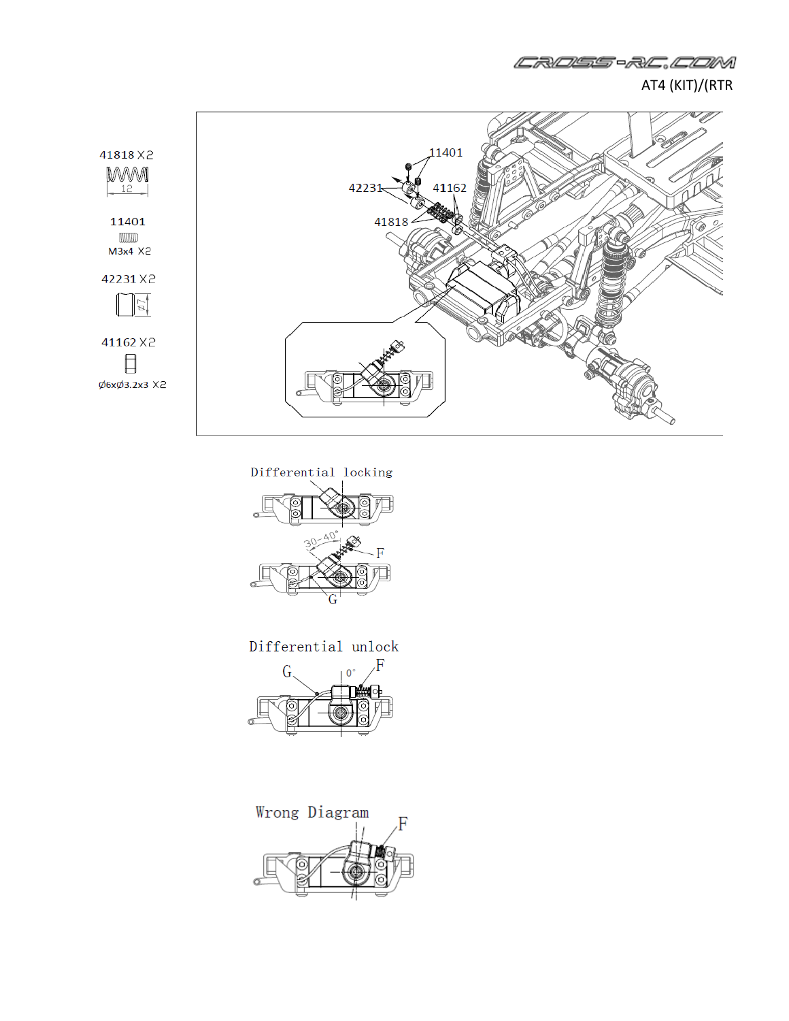

CROSS-RC.COM

Differential locking  $\frac{1}{\alpha}$ П  $\sigma$ 

Differential unlock



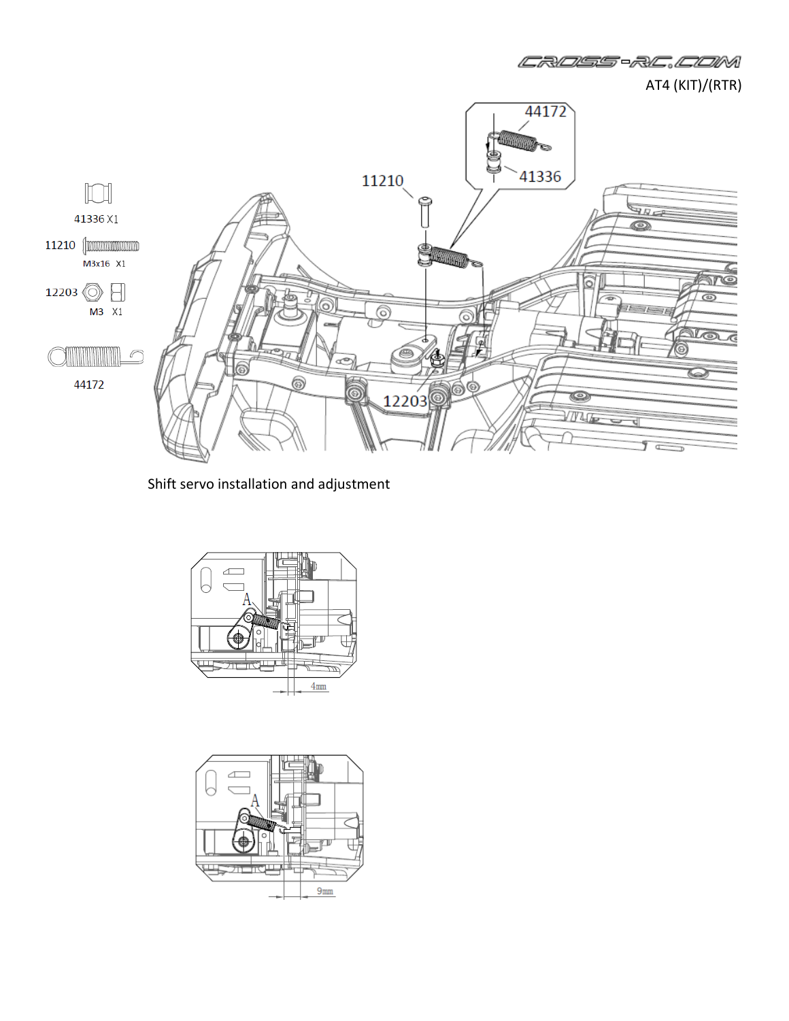

CROSS-RC.COM

Shift servo installation and adjustment



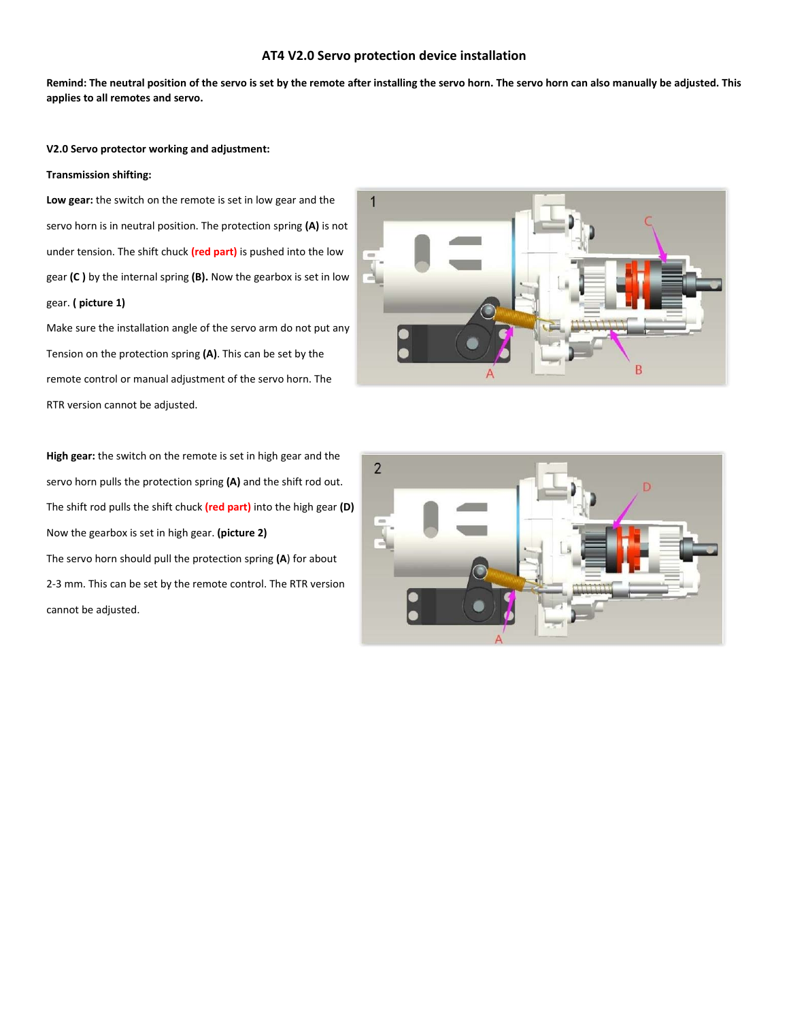# **AT4 V2.0 Servo protection device installation**

**Remind: The neutral position of the servo is set by the remote after installing the servo horn. The servo horn can also manually be adjusted. This applies to all remotes and servo.**

## **V2.0 Servo protector working and adjustment:**

# **Transmission shifting:**

**Low gear:** the switch on the remote is set in low gear and the servo horn is in neutral position. The protection spring **(A)** is not under tension. The shift chuck **(red part)** is pushed into the low gear **(C )** by the internal spring **(B).** Now the gearbox is set in low gear. **( picture 1)**

Make sure the installation angle of the servo arm do not put any Tension on the protection spring **(A)**. This can be set by the remote control or manual adjustment of the servo horn. The RTR version cannot be adjusted.

**High gear:** the switch on the remote is set in high gear and the servo horn pulls the protection spring **(A)** and the shift rod out. The shift rod pulls the shift chuck **(red part)** into the high gear **(D)** Now the gearbox is set in high gear. **(picture 2)** The servo horn should pull the protection spring **(A**) for about 2‐3 mm. This can be set by the remote control. The RTR version cannot be adjusted.